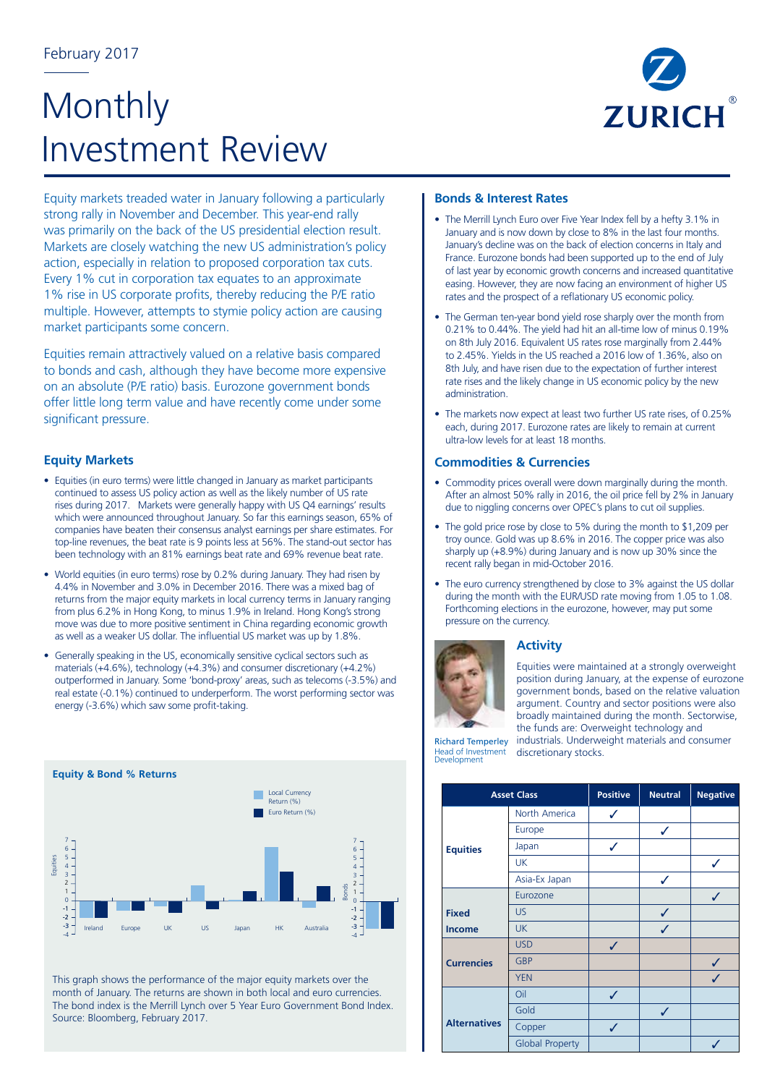# Monthly Investment Review



Equity markets treaded water in January following a particularly strong rally in November and December. This year-end rally was primarily on the back of the US presidential election result. Markets are closely watching the new US administration's policy action, especially in relation to proposed corporation tax cuts. Every 1% cut in corporation tax equates to an approximate 1% rise in US corporate profits, thereby reducing the P/E ratio multiple. However, attempts to stymie policy action are causing market participants some concern.

Equities remain attractively valued on a relative basis compared to bonds and cash, although they have become more expensive on an absolute (P/E ratio) basis. Eurozone government bonds offer little long term value and have recently come under some significant pressure.

## **Equity Markets**

- Equities (in euro terms) were little changed in January as market participants continued to assess US policy action as well as the likely number of US rate rises during 2017. Markets were generally happy with US Q4 earnings' results which were announced throughout January. So far this earnings season, 65% of companies have beaten their consensus analyst earnings per share estimates. For top-line revenues, the beat rate is 9 points less at 56%. The stand-out sector has been technology with an 81% earnings beat rate and 69% revenue beat rate.
- World equities (in euro terms) rose by 0.2% during January. They had risen by 4.4% in November and 3.0% in December 2016. There was a mixed bag of returns from the major equity markets in local currency terms in January ranging from plus 6.2% in Hong Kong, to minus 1.9% in Ireland. Hong Kong's strong move was due to more positive sentiment in China regarding economic growth as well as a weaker US dollar. The influential US market was up by 1.8%.
- Generally speaking in the US, economically sensitive cyclical sectors such as materials (+4.6%), technology (+4.3%) and consumer discretionary (+4.2%) outperformed in January. Some 'bond-proxy' areas, such as telecoms (-3.5%) and real estate (-0.1%) continued to underperform. The worst performing sector was energy (-3.6%) which saw some profit-taking.



This graph shows the performance of the major equity markets over the month of January. The returns are shown in both local and euro currencies. The bond index is the Merrill Lynch over 5 Year Euro Government Bond Index. Source: Bloomberg, February 2017.

#### **Bonds & Interest Rates**

- The Merrill Lynch Euro over Five Year Index fell by a hefty 3.1% in January and is now down by close to 8% in the last four months. January's decline was on the back of election concerns in Italy and France. Eurozone bonds had been supported up to the end of July of last year by economic growth concerns and increased quantitative easing. However, they are now facing an environment of higher US rates and the prospect of a reflationary US economic policy.
- The German ten-year bond yield rose sharply over the month from 0.21% to 0.44%. The yield had hit an all-time low of minus 0.19% on 8th July 2016. Equivalent US rates rose marginally from 2.44% to 2.45%. Yields in the US reached a 2016 low of 1.36%, also on 8th July, and have risen due to the expectation of further interest rate rises and the likely change in US economic policy by the new administration.
- The markets now expect at least two further US rate rises, of 0.25% each, during 2017. Eurozone rates are likely to remain at current ultra-low levels for at least 18 months.

### **Commodities & Currencies**

- Commodity prices overall were down marginally during the month. After an almost 50% rally in 2016, the oil price fell by 2% in January due to niggling concerns over OPEC's plans to cut oil supplies.
- The gold price rose by close to 5% during the month to \$1,209 per troy ounce. Gold was up 8.6% in 2016. The copper price was also sharply up (+8.9%) during January and is now up 30% since the recent rally began in mid-October 2016.
- The euro currency strengthened by close to 3% against the US dollar during the month with the EUR/USD rate moving from 1.05 to 1.08. Forthcoming elections in the eurozone, however, may put some pressure on the currency.



# **Activity**

Equities were maintained at a strongly overweight position during January, at the expense of eurozone government bonds, based on the relative valuation argument. Country and sector positions were also broadly maintained during the month. Sectorwise,

Richard Temperley Head of Investment Development

| <b>Asset Class</b>  |                        | Positive | <b>Neutral</b> | <b>Negative</b> |
|---------------------|------------------------|----------|----------------|-----------------|
|                     | North America          | ✓        |                |                 |
| <b>Equities</b>     | Europe                 |          | ✓              |                 |
|                     | Japan                  | ✓        |                |                 |
|                     | <b>UK</b>              |          |                | ✓               |
|                     | Asia-Ex Japan          |          |                |                 |
|                     | Eurozone               |          |                | ✓               |
| <b>Fixed</b>        | <b>US</b>              |          | ✓              |                 |
| <b>Income</b>       | <b>UK</b>              |          |                |                 |
| <b>Currencies</b>   | <b>USD</b>             | ✓        |                |                 |
|                     | <b>GBP</b>             |          |                | ✓               |
|                     | <b>YEN</b>             |          |                | ✓               |
| <b>Alternatives</b> | Oil                    | ✓        |                |                 |
|                     | Gold                   |          | ✓              |                 |
|                     | Copper                 | ✓        |                |                 |
|                     | <b>Global Property</b> |          |                |                 |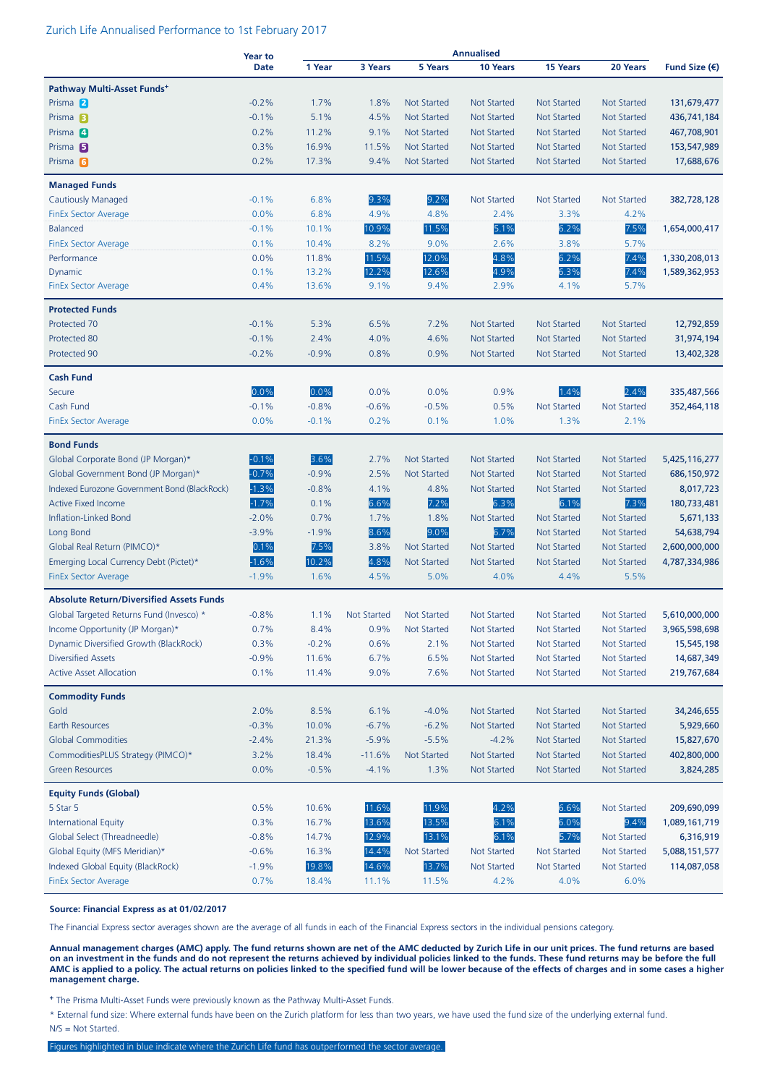#### Zurich Life Annualised Performance to 1st February 2017

|                                                 | <b>Year to</b> | <b>Annualised</b> |                    |                    |                    |                    |                    |                        |
|-------------------------------------------------|----------------|-------------------|--------------------|--------------------|--------------------|--------------------|--------------------|------------------------|
|                                                 | <b>Date</b>    | 1 Year            | 3 Years            | 5 Years            | 10 Years           | 15 Years           | 20 Years           | Fund Size $(\epsilon)$ |
| Pathway Multi-Asset Funds <sup>+</sup>          |                |                   |                    |                    |                    |                    |                    |                        |
| Prisma 2                                        | $-0.2%$        | 1.7%              | 1.8%               | <b>Not Started</b> | <b>Not Started</b> | <b>Not Started</b> | <b>Not Started</b> | 131,679,477            |
| Prisma <sub>B</sub>                             | $-0.1%$        | 5.1%              | 4.5%               | <b>Not Started</b> | <b>Not Started</b> | <b>Not Started</b> | <b>Not Started</b> | 436,741,184            |
| Prisma <sup>4</sup>                             | 0.2%           | 11.2%             | 9.1%               | <b>Not Started</b> | <b>Not Started</b> | <b>Not Started</b> | <b>Not Started</b> | 467,708,901            |
| Prisma <sub>5</sub>                             | 0.3%           | 16.9%             | 11.5%              | <b>Not Started</b> | <b>Not Started</b> | <b>Not Started</b> | <b>Not Started</b> | 153,547,989            |
| Prisma <sub>6</sub>                             | 0.2%           | 17.3%             | 9.4%               | <b>Not Started</b> | Not Started        | Not Started        | <b>Not Started</b> | 17,688,676             |
| <b>Managed Funds</b>                            |                |                   |                    |                    |                    |                    |                    |                        |
| Cautiously Managed                              | $-0.1%$        | 6.8%              | 9.3%               | 9.2%               | <b>Not Started</b> | <b>Not Started</b> | <b>Not Started</b> | 382,728,128            |
| <b>FinEx Sector Average</b>                     | 0.0%           | 6.8%              | 4.9%               | 4.8%               | 2.4%               | 3.3%               | 4.2%               |                        |
| <b>Balanced</b>                                 | $-0.1%$        | 10.1%             | 10.9%              | 11.5%              | 5.1%               | 6.2%               | 7.5%               | 1,654,000,417          |
| <b>FinEx Sector Average</b>                     | 0.1%           | 10.4%             | 8.2%               | 9.0%               | 2.6%               | 3.8%               | 5.7%               |                        |
| Performance                                     | 0.0%           | 11.8%             | 11.5%              | 12.0%              | 4.8%               | 6.2%               | 7.4%               | 1,330,208,013          |
| Dynamic                                         | 0.1%           | 13.2%             | 12.2%              | 12.6%              | 4.9%               | 6.3%               | 7.4%               | 1,589,362,953          |
| FinEx Sector Average                            | 0.4%           | 13.6%             | 9.1%               | 9.4%               | 2.9%               | 4.1%               | 5.7%               |                        |
| <b>Protected Funds</b>                          |                |                   |                    |                    |                    |                    |                    |                        |
| Protected 70                                    | $-0.1%$        | 5.3%              | 6.5%               | 7.2%               | <b>Not Started</b> | <b>Not Started</b> | <b>Not Started</b> | 12,792,859             |
| Protected 80                                    | $-0.1%$        | 2.4%              | 4.0%               | 4.6%               | <b>Not Started</b> | <b>Not Started</b> | <b>Not Started</b> | 31,974,194             |
| Protected 90                                    | $-0.2%$        | $-0.9%$           | 0.8%               | 0.9%               | <b>Not Started</b> | <b>Not Started</b> | <b>Not Started</b> | 13,402,328             |
| <b>Cash Fund</b>                                |                |                   |                    |                    |                    |                    |                    |                        |
| Secure                                          | 0.0%           | 0.0%              | 0.0%               | 0.0%               | 0.9%               | 1.4%               | 2.4%               | 335,487,566            |
| Cash Fund                                       | $-0.1%$        | $-0.8%$           | $-0.6%$            | $-0.5%$            | 0.5%               | <b>Not Started</b> | <b>Not Started</b> | 352,464,118            |
| <b>FinEx Sector Average</b>                     | 0.0%           | $-0.1%$           | 0.2%               | 0.1%               | 1.0%               | 1.3%               | 2.1%               |                        |
| <b>Bond Funds</b>                               |                |                   |                    |                    |                    |                    |                    |                        |
| Global Corporate Bond (JP Morgan)*              | $-0.1%$        | 3.6%              | 2.7%               | <b>Not Started</b> | <b>Not Started</b> | <b>Not Started</b> | <b>Not Started</b> | 5,425,116,277          |
| Global Government Bond (JP Morgan)*             | $-0.7%$        | $-0.9%$           | 2.5%               | <b>Not Started</b> | <b>Not Started</b> | <b>Not Started</b> | <b>Not Started</b> | 686,150,972            |
| Indexed Eurozone Government Bond (BlackRock)    | $-1.3%$        | $-0.8%$           | 4.1%               | 4.8%               | <b>Not Started</b> | <b>Not Started</b> | <b>Not Started</b> | 8,017,723              |
| <b>Active Fixed Income</b>                      | $-1.7%$        | 0.1%              | 6.6%               | 7.2%               | 6.3%               | 6.1%               | 7.3%               | 180,733,481            |
| Inflation-Linked Bond                           | $-2.0%$        | 0.7%              | 1.7%               | 1.8%               | <b>Not Started</b> | <b>Not Started</b> | <b>Not Started</b> | 5,671,133              |
| Long Bond                                       | $-3.9%$        | $-1.9%$           | 8.6%               | 9.0%               | 6.7%               | <b>Not Started</b> | <b>Not Started</b> | 54,638,794             |
| Global Real Return (PIMCO)*                     | 0.1%           | 7.5%              | 3.8%               | <b>Not Started</b> | <b>Not Started</b> | <b>Not Started</b> | <b>Not Started</b> | 2,600,000,000          |
| Emerging Local Currency Debt (Pictet)*          | $-1.6%$        | 10.2%             | 4.8%               | <b>Not Started</b> | <b>Not Started</b> | <b>Not Started</b> | <b>Not Started</b> | 4,787,334,986          |
| <b>FinEx Sector Average</b>                     | $-1.9%$        | 1.6%              | 4.5%               | 5.0%               | 4.0%               | 4.4%               | 5.5%               |                        |
| <b>Absolute Return/Diversified Assets Funds</b> |                |                   |                    |                    |                    |                    |                    |                        |
| Global Targeted Returns Fund (Invesco) *        | $-0.8%$        | 1.1%              | <b>Not Started</b> | Not Started        | <b>Not Started</b> | <b>Not Started</b> | <b>Not Started</b> | 5,610,000,000          |
| Income Opportunity (JP Morgan)*                 | $0.7\%$        | 8.4%              | $0.9\%$            | Not Started        | Not Started        | Not Started        | Not Started        | 3,965,598,698          |
| Dynamic Diversified Growth (BlackRock)          | 0.3%           | $-0.2%$           | 0.6%               | 2.1%               | Not Started        | Not Started        | Not Started        | 15,545,198             |
| <b>Diversified Assets</b>                       | $-0.9%$        | 11.6%             | 6.7%               | 6.5%               | Not Started        | <b>Not Started</b> | Not Started        | 14,687,349             |
| <b>Active Asset Allocation</b>                  | 0.1%           | 11.4%             | 9.0%               | 7.6%               | <b>Not Started</b> | <b>Not Started</b> | <b>Not Started</b> | 219,767,684            |
| <b>Commodity Funds</b>                          |                |                   |                    |                    |                    |                    |                    |                        |
| Gold                                            | 2.0%           | 8.5%              | 6.1%               | $-4.0%$            | <b>Not Started</b> | <b>Not Started</b> | <b>Not Started</b> | 34,246,655             |
| Earth Resources                                 | $-0.3%$        | 10.0%             | $-6.7%$            | $-6.2%$            | Not Started        | <b>Not Started</b> | Not Started        | 5,929,660              |
| <b>Global Commodities</b>                       | $-2.4%$        | 21.3%             | $-5.9%$            | $-5.5%$            | $-4.2%$            | <b>Not Started</b> | <b>Not Started</b> | 15,827,670             |
| CommoditiesPLUS Strategy (PIMCO)*               | 3.2%           | 18.4%             | $-11.6%$           | <b>Not Started</b> | Not Started        | <b>Not Started</b> | Not Started        | 402,800,000            |
| <b>Green Resources</b>                          | 0.0%           | $-0.5%$           | $-4.1%$            | 1.3%               | <b>Not Started</b> | <b>Not Started</b> | <b>Not Started</b> | 3,824,285              |
| <b>Equity Funds (Global)</b>                    |                |                   |                    |                    |                    |                    |                    |                        |
| 5 Star 5                                        | 0.5%           | 10.6%             | 11.6%              | 11.9%              | 4.2%               | 6.6%               | <b>Not Started</b> | 209,690,099            |
| <b>International Equity</b>                     | 0.3%           | 16.7%             | 13.6%              | 13.5%              | 6.1%               | 6.0%               | 9.4%               | 1,089,161,719          |
| Global Select (Threadneedle)                    | $-0.8%$        | 14.7%             | 12.9%              | 13.1%              | 6.1%               | 5.7%               | Not Started        | 6,316,919              |
| Global Equity (MFS Meridian)*                   | $-0.6%$        | 16.3%             | 14.4%              | Not Started        | Not Started        | Not Started        | Not Started        | 5,088,151,577          |
| Indexed Global Equity (BlackRock)               | $-1.9%$        | 19.8%             | 14.6%              | 13.7%              | <b>Not Started</b> | <b>Not Started</b> | Not Started        | 114,087,058            |
| <b>FinEx Sector Average</b>                     | 0.7%           | 18.4%             | 11.1%              | 11.5%              | 4.2%               | 4.0%               | 6.0%               |                        |

#### **Source: Financial Express as at 01/02/2017**

The Financial Express sector averages shown are the average of all funds in each of the Financial Express sectors in the individual pensions category.

**Annual management charges (AMC) apply. The fund returns shown are net of the AMC deducted by Zurich Life in our unit prices. The fund returns are based on an investment in the funds and do not represent the returns achieved by individual policies linked to the funds. These fund returns may be before the full AMC is applied to a policy. The actual returns on policies linked to the specified fund will be lower because of the effects of charges and in some cases a higher management charge.**

**<sup>+</sup>** The Prisma Multi-Asset Funds were previously known as the Pathway Multi-Asset Funds.

\* External fund size: Where external funds have been on the Zurich platform for less than two years, we have used the fund size of the underlying external fund. N/S = Not Started.

Figures highlighted in blue indicate where the Zurich Life fund has outperformed the sector average.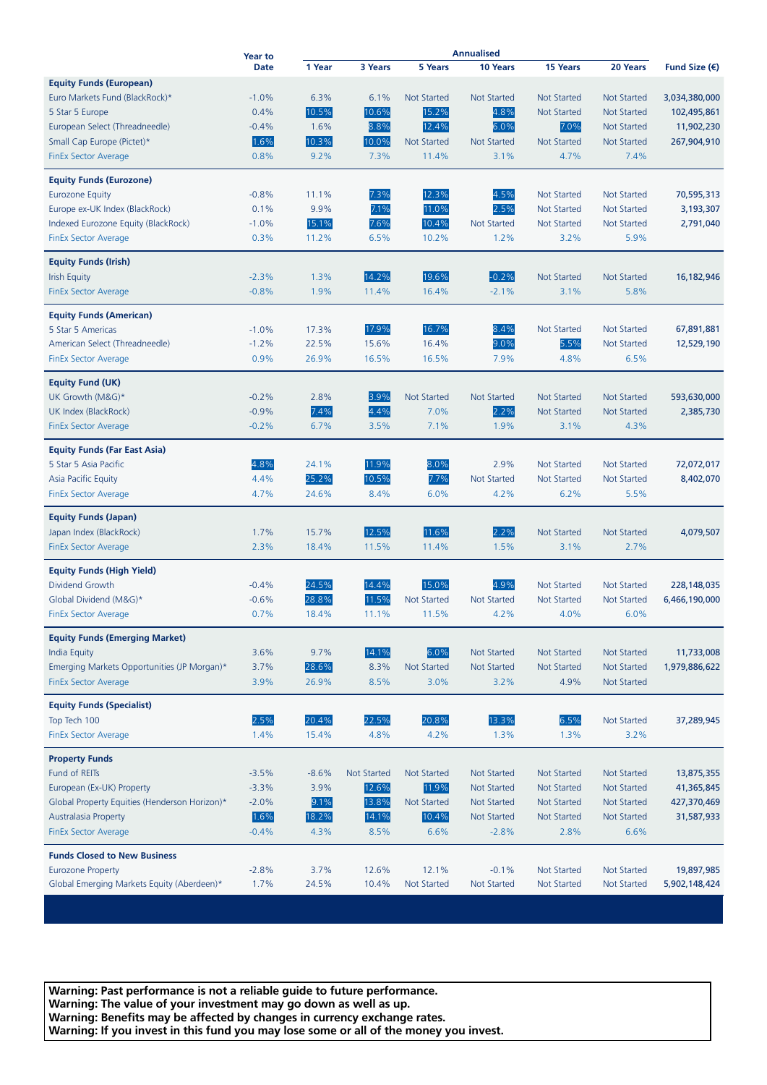|                                               | <b>Year to</b> |         |                    |                    | Annualised         |                    |                    |                        |
|-----------------------------------------------|----------------|---------|--------------------|--------------------|--------------------|--------------------|--------------------|------------------------|
|                                               | <b>Date</b>    | 1 Year  | 3 Years            | 5 Years            | 10 Years           | 15 Years           | 20 Years           | Fund Size $(\epsilon)$ |
| <b>Equity Funds (European)</b>                |                |         |                    |                    |                    |                    |                    |                        |
| Euro Markets Fund (BlackRock)*                | $-1.0%$        | 6.3%    | 6.1%               | <b>Not Started</b> | <b>Not Started</b> | <b>Not Started</b> | <b>Not Started</b> | 3,034,380,000          |
| 5 Star 5 Europe                               | 0.4%           | 10.5%   | 10.6%              | 15.2%              | 4.8%               | <b>Not Started</b> | <b>Not Started</b> | 102,495,861            |
| European Select (Threadneedle)                | $-0.4%$        | 1.6%    | 8.8%               | 12.4%              | 6.0%               | 7.0%               | <b>Not Started</b> | 11,902,230             |
| Small Cap Europe (Pictet)*                    | 1.6%           | 10.3%   | 10.0%              | <b>Not Started</b> | <b>Not Started</b> | <b>Not Started</b> | <b>Not Started</b> | 267,904,910            |
| <b>FinEx Sector Average</b>                   | 0.8%           | 9.2%    | 7.3%               | 11.4%              | 3.1%               | 4.7%               | 7.4%               |                        |
| <b>Equity Funds (Eurozone)</b>                |                |         |                    |                    |                    |                    |                    |                        |
| <b>Eurozone Equity</b>                        | $-0.8%$        | 11.1%   | 7.3%               | 12.3%              | 4.5%               | <b>Not Started</b> | <b>Not Started</b> | 70,595,313             |
| Europe ex-UK Index (BlackRock)                | 0.1%           | 9.9%    | 7.1%               | 11.0%              | 2.5%               | <b>Not Started</b> | <b>Not Started</b> | 3,193,307              |
| Indexed Eurozone Equity (BlackRock)           | $-1.0%$        | 15.1%   | 7.6%               | 10.4%              | <b>Not Started</b> | <b>Not Started</b> | <b>Not Started</b> | 2,791,040              |
| <b>FinEx Sector Average</b>                   | 0.3%           | 11.2%   | 6.5%               | 10.2%              | 1.2%               | 3.2%               | 5.9%               |                        |
| <b>Equity Funds (Irish)</b>                   |                |         |                    |                    |                    |                    |                    |                        |
| <b>Irish Equity</b>                           | $-2.3%$        | 1.3%    | 14.2%              | 19.6%              | $-0.2%$            | <b>Not Started</b> | <b>Not Started</b> | 16,182,946             |
| <b>FinEx Sector Average</b>                   | $-0.8%$        | 1.9%    | 11.4%              | 16.4%              | $-2.1%$            | 3.1%               | 5.8%               |                        |
| <b>Equity Funds (American)</b>                |                |         |                    |                    |                    |                    |                    |                        |
| 5 Star 5 Americas                             | $-1.0%$        | 17.3%   | 17.9%              | 16.7%              | 8.4%               | <b>Not Started</b> | <b>Not Started</b> | 67,891,881             |
| American Select (Threadneedle)                | $-1.2%$        | 22.5%   | 15.6%              | 16.4%              | 9.0%               | 5.5%               | <b>Not Started</b> | 12,529,190             |
| <b>FinEx Sector Average</b>                   | 0.9%           | 26.9%   | 16.5%              | 16.5%              | 7.9%               | 4.8%               | 6.5%               |                        |
| <b>Equity Fund (UK)</b>                       |                |         |                    |                    |                    |                    |                    |                        |
| UK Growth (M&G)*                              | $-0.2%$        | 2.8%    | 3.9%               | <b>Not Started</b> | <b>Not Started</b> | <b>Not Started</b> | <b>Not Started</b> | 593,630,000            |
| UK Index (BlackRock)                          | $-0.9%$        | 7.4%    | 4.4%               | 7.0%               | 2.2%               | <b>Not Started</b> | <b>Not Started</b> | 2,385,730              |
| <b>FinEx Sector Average</b>                   | $-0.2%$        | 6.7%    | 3.5%               | 7.1%               | 1.9%               | 3.1%               | 4.3%               |                        |
| <b>Equity Funds (Far East Asia)</b>           |                |         |                    |                    |                    |                    |                    |                        |
| 5 Star 5 Asia Pacific                         | 4.8%           | 24.1%   | 11.9%              | 8.0%               | 2.9%               | <b>Not Started</b> | <b>Not Started</b> | 72,072,017             |
| Asia Pacific Equity                           | 4.4%           | 25.2%   | 10.5%              | 7.7%               | <b>Not Started</b> | <b>Not Started</b> | <b>Not Started</b> | 8,402,070              |
| <b>FinEx Sector Average</b>                   | 4.7%           | 24.6%   | 8.4%               | 6.0%               | 4.2%               | 6.2%               | 5.5%               |                        |
| <b>Equity Funds (Japan)</b>                   |                |         |                    |                    |                    |                    |                    |                        |
| Japan Index (BlackRock)                       | 1.7%           | 15.7%   | 12.5%              | 11.6%              | 2.2%               | <b>Not Started</b> | <b>Not Started</b> | 4,079,507              |
| <b>FinEx Sector Average</b>                   | 2.3%           | 18.4%   | 11.5%              | 11.4%              | 1.5%               | 3.1%               | 2.7%               |                        |
| <b>Equity Funds (High Yield)</b>              |                |         |                    |                    |                    |                    |                    |                        |
| Dividend Growth                               | $-0.4%$        | 24.5%   | 14.4%              | 15.0%              | 4.9%               | <b>Not Started</b> | Not Started        | 228,148,035            |
| Global Dividend (M&G)*                        | $-0.6%$        | 28.8%   | 11.5%              | <b>Not Started</b> | <b>Not Started</b> | <b>Not Started</b> | <b>Not Started</b> | 6,466,190,000          |
| <b>FinEx Sector Average</b>                   | 0.7%           | 18.4%   | 11.1%              | 11.5%              | 4.2%               | 4.0%               | 6.0%               |                        |
| <b>Equity Funds (Emerging Market)</b>         |                |         |                    |                    |                    |                    |                    |                        |
| <b>India Equity</b>                           | 3.6%           | 9.7%    | 14.1%              | 6.0%               | <b>Not Started</b> | <b>Not Started</b> | <b>Not Started</b> | 11,733,008             |
| Emerging Markets Opportunities (JP Morgan)*   | 3.7%           | 28.6%   | 8.3%               | Not Started        | <b>Not Started</b> | <b>Not Started</b> | <b>Not Started</b> | 1,979,886,622          |
| <b>FinEx Sector Average</b>                   | 3.9%           | 26.9%   | 8.5%               | 3.0%               | 3.2%               | 4.9%               | <b>Not Started</b> |                        |
| <b>Equity Funds (Specialist)</b>              |                |         |                    |                    |                    |                    |                    |                        |
| Top Tech 100                                  | 2.5%           | 20.4%   | 22.5%              | 20.8%              | 13.3%              | 6.5%               | <b>Not Started</b> | 37,289,945             |
| <b>FinEx Sector Average</b>                   | 1.4%           | 15.4%   | 4.8%               | 4.2%               | 1.3%               | 1.3%               | 3.2%               |                        |
| <b>Property Funds</b>                         |                |         |                    |                    |                    |                    |                    |                        |
| Fund of REITs                                 | $-3.5%$        | $-8.6%$ | <b>Not Started</b> | Not Started        | <b>Not Started</b> | <b>Not Started</b> | <b>Not Started</b> | 13,875,355             |
| European (Ex-UK) Property                     | $-3.3%$        | 3.9%    | 12.6%              | 11.9%              | <b>Not Started</b> | <b>Not Started</b> | Not Started        | 41,365,845             |
| Global Property Equities (Henderson Horizon)* | $-2.0%$        | 9.1%    | 13.8%              | Not Started        | <b>Not Started</b> | <b>Not Started</b> | <b>Not Started</b> | 427,370,469            |
| Australasia Property                          | 1.6%           | 18.2%   | 14.1%              | 10.4%              | <b>Not Started</b> | <b>Not Started</b> | <b>Not Started</b> | 31,587,933             |
| <b>FinEx Sector Average</b>                   | $-0.4%$        | 4.3%    | 8.5%               | 6.6%               | $-2.8%$            | 2.8%               | 6.6%               |                        |
| <b>Funds Closed to New Business</b>           |                |         |                    |                    |                    |                    |                    |                        |
| <b>Eurozone Property</b>                      | $-2.8%$        | 3.7%    | 12.6%              | 12.1%              | $-0.1%$            | <b>Not Started</b> | <b>Not Started</b> | 19,897,985             |
| Global Emerging Markets Equity (Aberdeen)*    | 1.7%           | 24.5%   | 10.4%              | Not Started        | Not Started        | Not Started        | Not Started        | 5,902,148,424          |

**Warning: Past performance is not a reliable guide to future performance. Warning: The value of your investment may go down as well as up. Warning: Benefits may be affected by changes in currency exchange rates. Warning: If you invest in this fund you may lose some or all of the money you invest.**